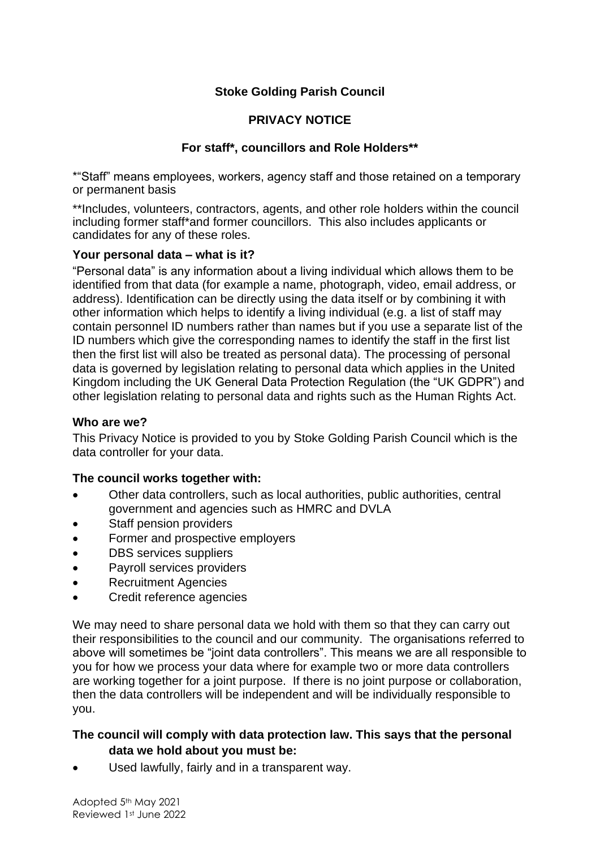# **Stoke Golding Parish Council**

### **PRIVACY NOTICE**

#### **For staff\*, councillors and Role Holders\*\***

\*"Staff" means employees, workers, agency staff and those retained on a temporary or permanent basis

\*\*Includes, volunteers, contractors, agents, and other role holders within the council including former staff\*and former councillors. This also includes applicants or candidates for any of these roles.

#### **Your personal data – what is it?**

"Personal data" is any information about a living individual which allows them to be identified from that data (for example a name, photograph, video, email address, or address). Identification can be directly using the data itself or by combining it with other information which helps to identify a living individual (e.g. a list of staff may contain personnel ID numbers rather than names but if you use a separate list of the ID numbers which give the corresponding names to identify the staff in the first list then the first list will also be treated as personal data). The processing of personal data is governed by legislation relating to personal data which applies in the United Kingdom including the UK General Data Protection Regulation (the "UK GDPR") and other legislation relating to personal data and rights such as the Human Rights Act.

#### **Who are we?**

This Privacy Notice is provided to you by Stoke Golding Parish Council which is the data controller for your data.

#### **The council works together with:**

- Other data controllers, such as local authorities, public authorities, central government and agencies such as HMRC and DVLA
- Staff pension providers
- Former and prospective employers
- DBS services suppliers
- Payroll services providers
- Recruitment Agencies
- Credit reference agencies

We may need to share personal data we hold with them so that they can carry out their responsibilities to the council and our community. The organisations referred to above will sometimes be "joint data controllers". This means we are all responsible to you for how we process your data where for example two or more data controllers are working together for a joint purpose. If there is no joint purpose or collaboration, then the data controllers will be independent and will be individually responsible to you.

### **The council will comply with data protection law. This says that the personal data we hold about you must be:**

Used lawfully, fairly and in a transparent way.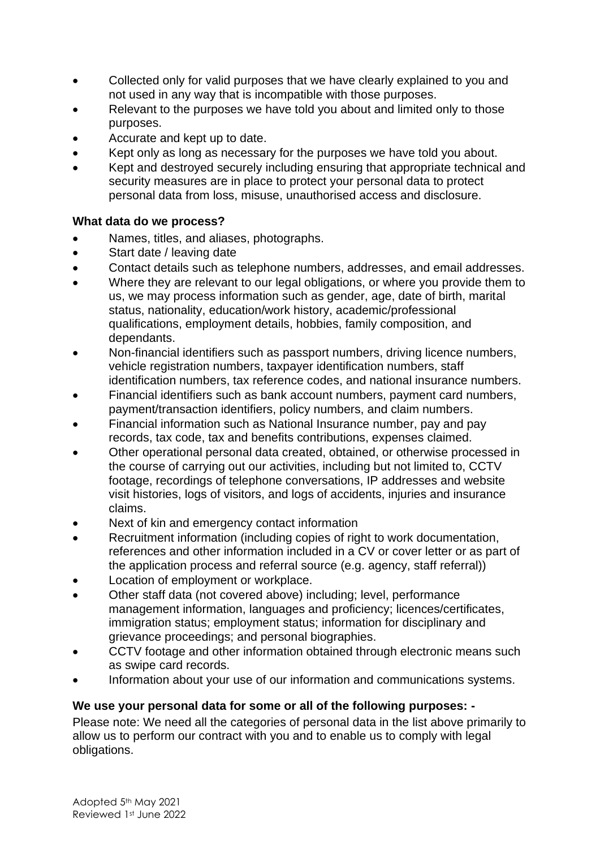- Collected only for valid purposes that we have clearly explained to you and not used in any way that is incompatible with those purposes.
- Relevant to the purposes we have told you about and limited only to those purposes.
- Accurate and kept up to date.
- Kept only as long as necessary for the purposes we have told you about.
- Kept and destroyed securely including ensuring that appropriate technical and security measures are in place to protect your personal data to protect personal data from loss, misuse, unauthorised access and disclosure.

# **What data do we process?**

- Names, titles, and aliases, photographs.
- Start date / leaving date
- Contact details such as telephone numbers, addresses, and email addresses.
- Where they are relevant to our legal obligations, or where you provide them to us, we may process information such as gender, age, date of birth, marital status, nationality, education/work history, academic/professional qualifications, employment details, hobbies, family composition, and dependants.
- Non-financial identifiers such as passport numbers, driving licence numbers, vehicle registration numbers, taxpayer identification numbers, staff identification numbers, tax reference codes, and national insurance numbers.
- Financial identifiers such as bank account numbers, payment card numbers, payment/transaction identifiers, policy numbers, and claim numbers.
- Financial information such as National Insurance number, pay and pay records, tax code, tax and benefits contributions, expenses claimed.
- Other operational personal data created, obtained, or otherwise processed in the course of carrying out our activities, including but not limited to, CCTV footage, recordings of telephone conversations, IP addresses and website visit histories, logs of visitors, and logs of accidents, injuries and insurance claims.
- Next of kin and emergency contact information
- Recruitment information (including copies of right to work documentation, references and other information included in a CV or cover letter or as part of the application process and referral source (e.g. agency, staff referral))
- Location of employment or workplace.
- Other staff data (not covered above) including; level, performance management information, languages and proficiency; licences/certificates, immigration status; employment status; information for disciplinary and grievance proceedings; and personal biographies.
- CCTV footage and other information obtained through electronic means such as swipe card records.
- Information about your use of our information and communications systems.

# **We use your personal data for some or all of the following purposes: -**

Please note: We need all the categories of personal data in the list above primarily to allow us to perform our contract with you and to enable us to comply with legal obligations.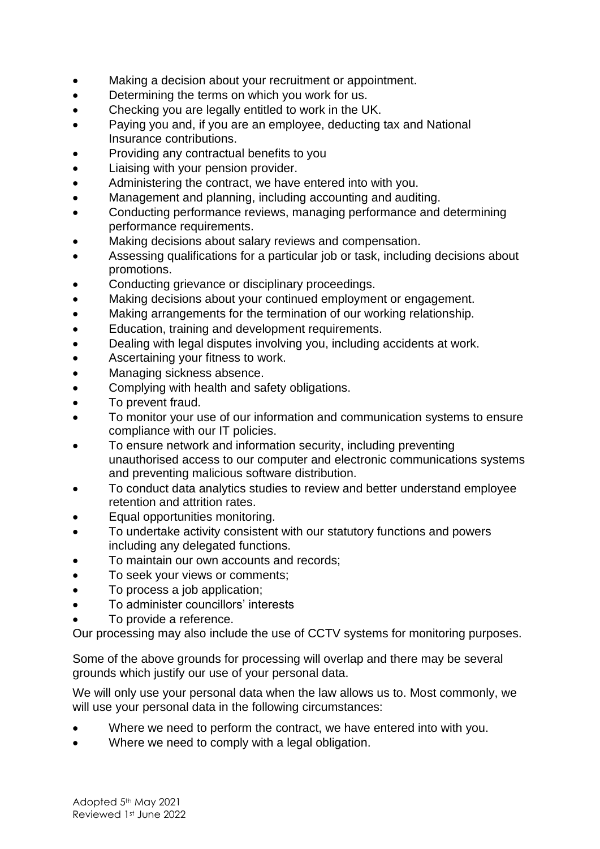- Making a decision about your recruitment or appointment.
- Determining the terms on which you work for us.
- Checking you are legally entitled to work in the UK.
- Paying you and, if you are an employee, deducting tax and National Insurance contributions.
- Providing any contractual benefits to you
- Liaising with your pension provider.
- Administering the contract, we have entered into with you.
- Management and planning, including accounting and auditing.
- Conducting performance reviews, managing performance and determining performance requirements.
- Making decisions about salary reviews and compensation.
- Assessing qualifications for a particular job or task, including decisions about promotions.
- Conducting grievance or disciplinary proceedings.
- Making decisions about your continued employment or engagement.
- Making arrangements for the termination of our working relationship.
- Education, training and development requirements.
- Dealing with legal disputes involving you, including accidents at work.
- Ascertaining your fitness to work.
- Managing sickness absence.
- Complying with health and safety obligations.
- To prevent fraud.
- To monitor your use of our information and communication systems to ensure compliance with our IT policies.
- To ensure network and information security, including preventing unauthorised access to our computer and electronic communications systems and preventing malicious software distribution.
- To conduct data analytics studies to review and better understand employee retention and attrition rates.
- Equal opportunities monitoring.
- To undertake activity consistent with our statutory functions and powers including any delegated functions.
- To maintain our own accounts and records;
- To seek your views or comments;
- To process a job application;
- To administer councillors' interests
- To provide a reference.

Our processing may also include the use of CCTV systems for monitoring purposes.

Some of the above grounds for processing will overlap and there may be several grounds which justify our use of your personal data.

We will only use your personal data when the law allows us to. Most commonly, we will use your personal data in the following circumstances:

- Where we need to perform the contract, we have entered into with you.
- Where we need to comply with a legal obligation.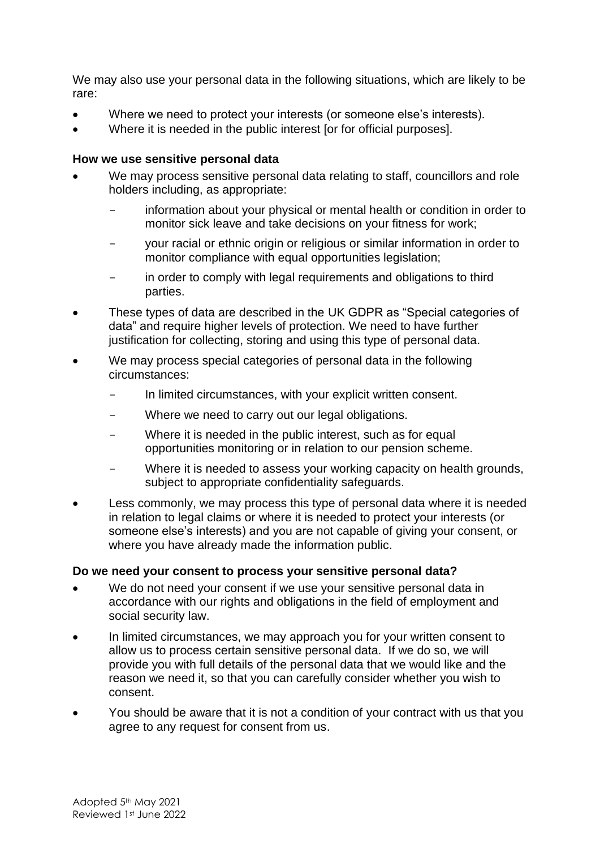We may also use your personal data in the following situations, which are likely to be rare:

- Where we need to protect your interests (or someone else's interests).
- Where it is needed in the public interest for for official purposes].

#### **How we use sensitive personal data**

- We may process sensitive personal data relating to staff, councillors and role holders including, as appropriate:
	- information about your physical or mental health or condition in order to monitor sick leave and take decisions on your fitness for work;
	- your racial or ethnic origin or religious or similar information in order to monitor compliance with equal opportunities legislation;
	- in order to comply with legal requirements and obligations to third parties.
- These types of data are described in the UK GDPR as "Special categories of data" and require higher levels of protection. We need to have further justification for collecting, storing and using this type of personal data.
- We may process special categories of personal data in the following circumstances:
	- In limited circumstances, with your explicit written consent.
	- Where we need to carry out our legal obligations.
	- Where it is needed in the public interest, such as for equal opportunities monitoring or in relation to our pension scheme.
	- Where it is needed to assess your working capacity on health grounds, subject to appropriate confidentiality safeguards.
- Less commonly, we may process this type of personal data where it is needed in relation to legal claims or where it is needed to protect your interests (or someone else's interests) and you are not capable of giving your consent, or where you have already made the information public.

#### **Do we need your consent to process your sensitive personal data?**

- We do not need your consent if we use your sensitive personal data in accordance with our rights and obligations in the field of employment and social security law.
- In limited circumstances, we may approach you for your written consent to allow us to process certain sensitive personal data. If we do so, we will provide you with full details of the personal data that we would like and the reason we need it, so that you can carefully consider whether you wish to consent.
- You should be aware that it is not a condition of your contract with us that you agree to any request for consent from us.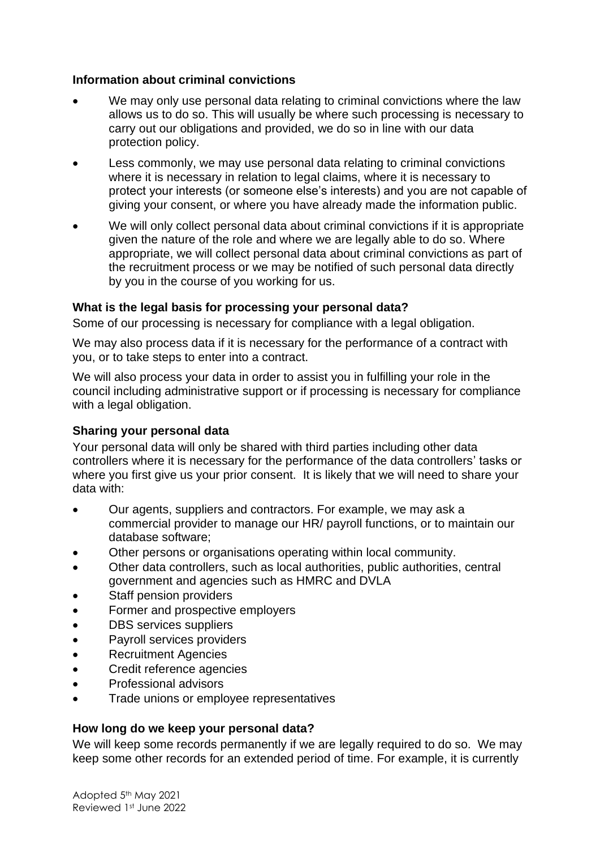#### **Information about criminal convictions**

- We may only use personal data relating to criminal convictions where the law allows us to do so. This will usually be where such processing is necessary to carry out our obligations and provided, we do so in line with our data protection policy.
- Less commonly, we may use personal data relating to criminal convictions where it is necessary in relation to legal claims, where it is necessary to protect your interests (or someone else's interests) and you are not capable of giving your consent, or where you have already made the information public.
- We will only collect personal data about criminal convictions if it is appropriate given the nature of the role and where we are legally able to do so. Where appropriate, we will collect personal data about criminal convictions as part of the recruitment process or we may be notified of such personal data directly by you in the course of you working for us.

#### **What is the legal basis for processing your personal data?**

Some of our processing is necessary for compliance with a legal obligation.

We may also process data if it is necessary for the performance of a contract with you, or to take steps to enter into a contract.

We will also process your data in order to assist you in fulfilling your role in the council including administrative support or if processing is necessary for compliance with a legal obligation.

### **Sharing your personal data**

Your personal data will only be shared with third parties including other data controllers where it is necessary for the performance of the data controllers' tasks or where you first give us your prior consent. It is likely that we will need to share your data with:

- Our agents, suppliers and contractors. For example, we may ask a commercial provider to manage our HR/ payroll functions, or to maintain our database software;
- Other persons or organisations operating within local community.
- Other data controllers, such as local authorities, public authorities, central government and agencies such as HMRC and DVLA
- Staff pension providers
- Former and prospective employers
- DBS services suppliers
- Payroll services providers
- Recruitment Agencies
- Credit reference agencies
- Professional advisors
- Trade unions or employee representatives

### **How long do we keep your personal data?**

We will keep some records permanently if we are legally required to do so. We may keep some other records for an extended period of time. For example, it is currently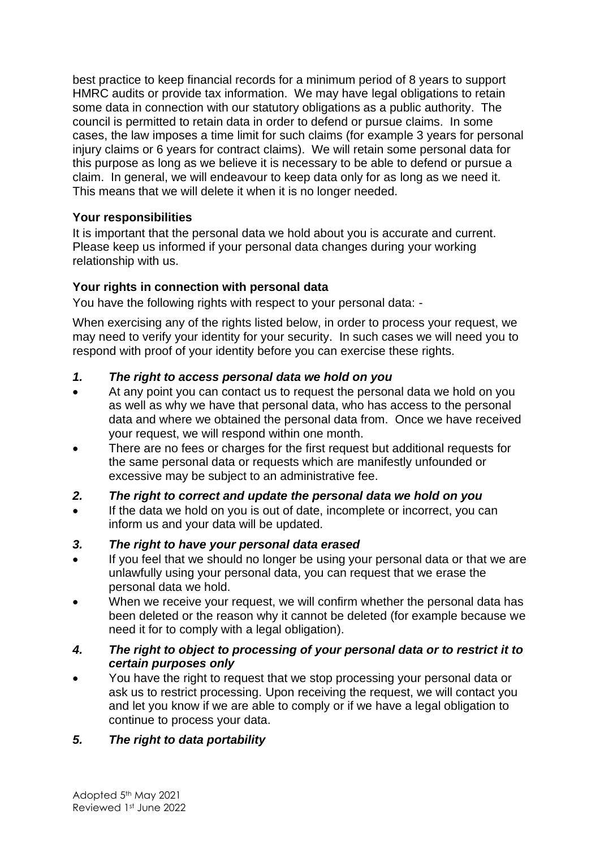best practice to keep financial records for a minimum period of 8 years to support HMRC audits or provide tax information. We may have legal obligations to retain some data in connection with our statutory obligations as a public authority. The council is permitted to retain data in order to defend or pursue claims. In some cases, the law imposes a time limit for such claims (for example 3 years for personal injury claims or 6 years for contract claims). We will retain some personal data for this purpose as long as we believe it is necessary to be able to defend or pursue a claim. In general, we will endeavour to keep data only for as long as we need it. This means that we will delete it when it is no longer needed.

### **Your responsibilities**

It is important that the personal data we hold about you is accurate and current. Please keep us informed if your personal data changes during your working relationship with us.

#### **Your rights in connection with personal data**

You have the following rights with respect to your personal data: -

When exercising any of the rights listed below, in order to process your request, we may need to verify your identity for your security. In such cases we will need you to respond with proof of your identity before you can exercise these rights.

#### *1. The right to access personal data we hold on you*

- At any point you can contact us to request the personal data we hold on you as well as why we have that personal data, who has access to the personal data and where we obtained the personal data from. Once we have received your request, we will respond within one month.
- There are no fees or charges for the first request but additional requests for the same personal data or requests which are manifestly unfounded or excessive may be subject to an administrative fee.

### *2. The right to correct and update the personal data we hold on you*

If the data we hold on you is out of date, incomplete or incorrect, you can inform us and your data will be updated.

### *3. The right to have your personal data erased*

- If you feel that we should no longer be using your personal data or that we are unlawfully using your personal data, you can request that we erase the personal data we hold.
- When we receive your request, we will confirm whether the personal data has been deleted or the reason why it cannot be deleted (for example because we need it for to comply with a legal obligation).

#### *4. The right to object to processing of your personal data or to restrict it to certain purposes only*

• You have the right to request that we stop processing your personal data or ask us to restrict processing. Upon receiving the request, we will contact you and let you know if we are able to comply or if we have a legal obligation to continue to process your data.

### *5. The right to data portability*